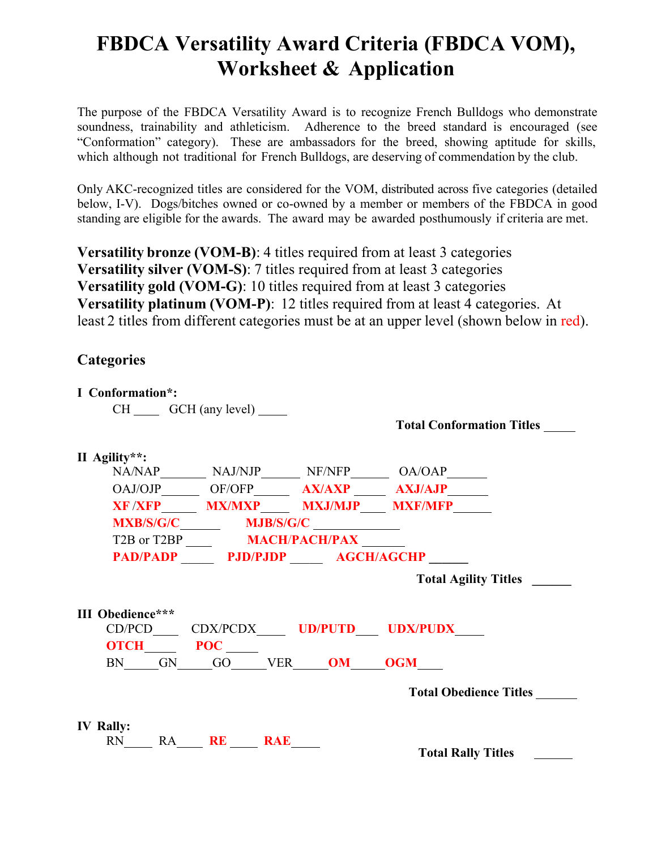## **FBDCA Versatility Award Criteria (FBDCA VOM), Worksheet & Application**

The purpose of the FBDCA Versatility Award is to recognize French Bulldogs who demonstrate soundness, trainability and athleticism. Adherence to the breed standard is encouraged (see "Conformation" category). These are ambassadors for the breed, showing aptitude for skills, which although not traditional for French Bulldogs, are deserving of commendation by the club.

Only AKC-recognized titles are considered for the VOM, distributed across five categories (detailed below, I-V). Dogs/bitches owned or co-owned by a member or members of the FBDCA in good standing are eligible for the awards. The award may be awarded posthumously if criteria are met.

**Versatility bronze (VOM-B)**: 4 titles required from at least 3 categories **Versatility silver (VOM-S)**: 7 titles required from at least 3 categories **Versatility gold (VOM-G)**: 10 titles required from at least 3 categories **Versatility platinum (VOM-P)**: 12 titles required from at least 4 categories. At least 2 titles from different categories must be at an upper level (shown below in red).

## **Categories**

| I Conformation <sup>*</sup> : |                                      |                                                               |
|-------------------------------|--------------------------------------|---------------------------------------------------------------|
|                               | $CH \_\_\$ GCH (any level)           |                                                               |
|                               |                                      | <b>Total Conformation Titles</b>                              |
|                               |                                      |                                                               |
| II Agility**:                 |                                      |                                                               |
|                               |                                      | NA/NAP__________ NAJ/NJP________ NF/NFP________ OA/OAP_______ |
|                               |                                      | OAJ/OJP OF/OFP AX/AXP AXJ/AJP                                 |
|                               |                                      | XF /XFP______ MX/MXP_____ MXJ/MJP____ MXF/MFP______           |
|                               |                                      |                                                               |
|                               | T2B or T2BP __________ MACH/PACH/PAX |                                                               |
|                               | PAD/PADP PJD/PJDP AGCH/AGCHP         |                                                               |
|                               |                                      | <b>Total Agility Titles</b>                                   |
| <b>III</b> Obedience***       | <b>OTCH POC</b>                      | CD/PCD_____ CDX/PCDX______ UD/PUTD____ UDX/PUDX____           |
|                               | BN GN GO VER <b>OM OGM</b>           |                                                               |
|                               |                                      | <b>Total Obedience Titles</b>                                 |
| <b>IV Rally:</b>              |                                      |                                                               |
|                               | RN RA RE RAE                         | <b>Total Rally Titles</b>                                     |
|                               |                                      |                                                               |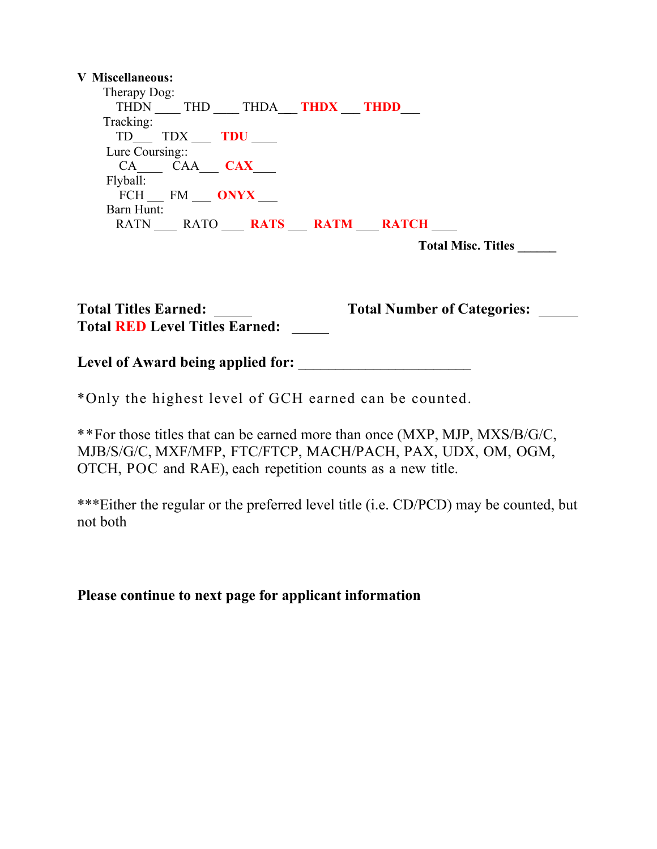## **V Miscellaneous:**

| Therapy Dog:<br>THDN THD THDA THDX THDD |
|-----------------------------------------|
| Tracking:                               |
| TD TDX TDU                              |
| Lure Coursing::                         |
| CA CAA <b>CAX</b>                       |
| Flyball:                                |
| FCH FM ONYX                             |
| Barn Hunt:                              |
| RATN RATO <b>RATS RATM RATCH</b>        |
|                                         |

 **Total Misc. Titles \_\_\_\_\_\_**

| <b>Total Titles Earned:</b>           | <b>Total Number of Categories:</b> |  |
|---------------------------------------|------------------------------------|--|
| <b>Total RED Level Titles Earned:</b> |                                    |  |

**Level of Award being applied for:** \_\_\_\_\_\_\_\_\_\_\_\_\_\_\_\_\_\_\_\_\_\_\_

\*Only the highest level of GCH earned can be counted.

\*\*For those titles that can be earned more than once (MXP, MJP, MXS/B/G/C, MJB/S/G/C, MXF/MFP, FTC/FTCP, MACH/PACH, PAX, UDX, OM, OGM, OTCH, POC and RAE), each repetition counts as a new title.

\*\*\*Either the regular or the preferred level title (i.e. CD/PCD) may be counted, but not both

## **Please continue to next page for applicant information**